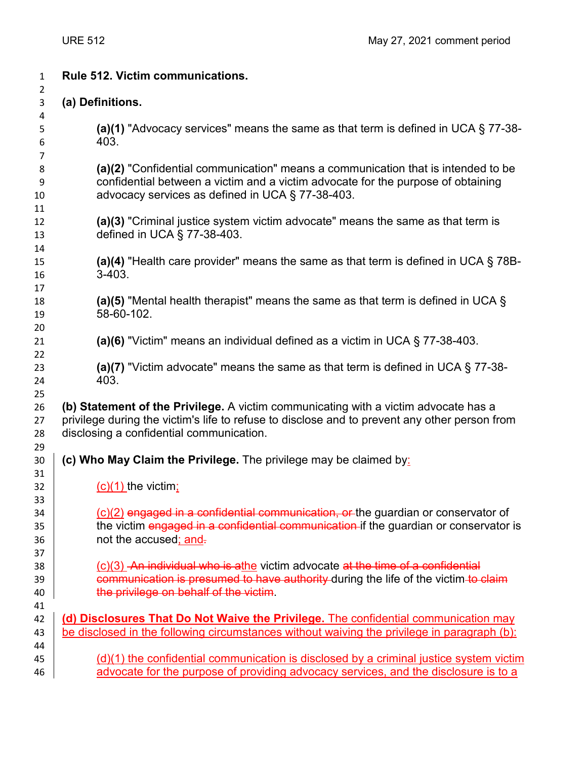| $\mathbf{1}$         | Rule 512. Victim communications.                                                                                                                                                                                                 |
|----------------------|----------------------------------------------------------------------------------------------------------------------------------------------------------------------------------------------------------------------------------|
| $\overline{2}$<br>3  | (a) Definitions.                                                                                                                                                                                                                 |
| 4<br>5<br>6          | (a)(1) "Advocacy services" means the same as that term is defined in UCA $\S$ 77-38-<br>403.                                                                                                                                     |
| 7<br>8<br>9<br>10    | (a)(2) "Confidential communication" means a communication that is intended to be<br>confidential between a victim and a victim advocate for the purpose of obtaining<br>advocacy services as defined in UCA § 77-38-403.         |
| 11<br>12<br>13       | (a)(3) "Criminal justice system victim advocate" means the same as that term is<br>defined in UCA § 77-38-403.                                                                                                                   |
| 14<br>15<br>16       | (a)(4) "Health care provider" means the same as that term is defined in UCA $\S$ 78B-<br>$3-403.$                                                                                                                                |
| 17<br>18<br>19       | (a)(5) "Mental health therapist" means the same as that term is defined in UCA $\S$<br>58-60-102.                                                                                                                                |
| 20<br>21<br>22       | (a)(6) "Victim" means an individual defined as a victim in UCA $\S$ 77-38-403.                                                                                                                                                   |
| 23<br>24             | (a)(7) "Victim advocate" means the same as that term is defined in UCA $\S$ 77-38-<br>403.                                                                                                                                       |
| 25<br>26<br>27<br>28 | (b) Statement of the Privilege. A victim communicating with a victim advocate has a<br>privilege during the victim's life to refuse to disclose and to prevent any other person from<br>disclosing a confidential communication. |
| 29<br>30<br>31       | (c) Who May Claim the Privilege. The privilege may be claimed by:                                                                                                                                                                |
| 32<br>33             | $(c)(1)$ the victim;                                                                                                                                                                                                             |
| 34<br>35<br>36       | (c)(2) engaged in a confidential communication, or the guardian or conservator of<br>the victim engaged in a confidential communication if the guardian or conservator is<br>not the accused; and-                               |
| 37<br>38<br>39<br>40 | $(c)(3)$ An individual who is athe victim advocate at the time of a confidential<br>communication is presumed to have authority during the life of the victim to claim<br>the privilege on behalf of the victim.                 |
| 41<br>42<br>43       | (d) Disclosures That Do Not Waive the Privilege. The confidential communication may<br>be disclosed in the following circumstances without waiving the privilege in paragraph (b):                                               |
| 44<br>45             | $(d)(1)$ the confidential communication is disclosed by a criminal justice system victim                                                                                                                                         |

d by a criminal justice system victim 46 advocate for the purpose of providing advocacy services, and the disclosure is to a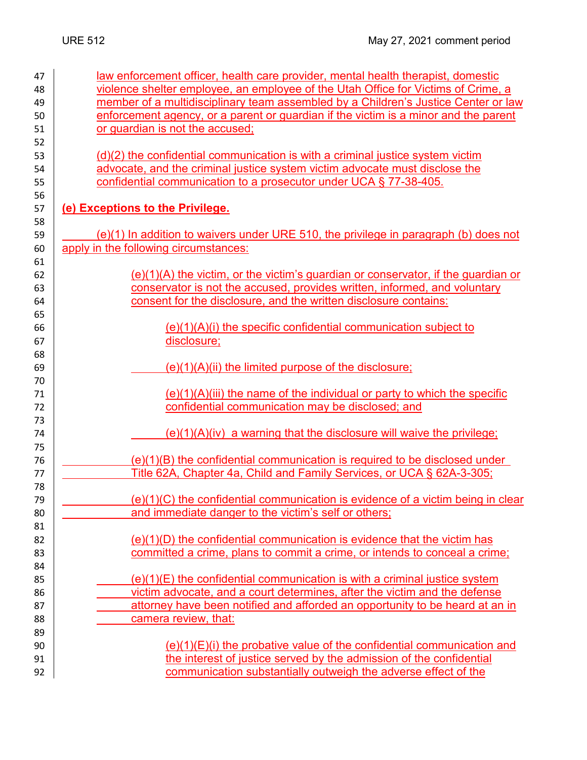| 47 | law enforcement officer, health care provider, mental health therapist, domestic     |
|----|--------------------------------------------------------------------------------------|
| 48 | violence shelter employee, an employee of the Utah Office for Victims of Crime, a    |
| 49 | member of a multidisciplinary team assembled by a Children's Justice Center or law   |
| 50 | enforcement agency, or a parent or guardian if the victim is a minor and the parent  |
| 51 | or guardian is not the accused;                                                      |
| 52 |                                                                                      |
| 53 | (d)(2) the confidential communication is with a criminal justice system victim       |
| 54 | advocate, and the criminal justice system victim advocate must disclose the          |
| 55 | confidential communication to a prosecutor under UCA § 77-38-405.                    |
| 56 |                                                                                      |
| 57 | (e) Exceptions to the Privilege.                                                     |
| 58 |                                                                                      |
| 59 | (e)(1) In addition to waivers under URE 510, the privilege in paragraph (b) does not |
| 60 | apply in the following circumstances:                                                |
| 61 |                                                                                      |
| 62 | $(e)(1)(A)$ the victim, or the victim's guardian or conservator, if the guardian or  |
| 63 | conservator is not the accused, provides written, informed, and voluntary            |
| 64 | consent for the disclosure, and the written disclosure contains:                     |
| 65 |                                                                                      |
| 66 | $(e)(1)(A)(i)$ the specific confidential communication subject to                    |
| 67 | disclosure;                                                                          |
| 68 |                                                                                      |
| 69 | $(e)(1)(A)(ii)$ the limited purpose of the disclosure;                               |
| 70 |                                                                                      |
| 71 | $(e)(1)(A)(iii)$ the name of the individual or party to which the specific           |
| 72 | confidential communication may be disclosed; and                                     |
| 73 |                                                                                      |
| 74 | $(e)(1)(A)(iv)$ a warning that the disclosure will waive the privilege;              |
| 75 |                                                                                      |
| 76 | $(e)(1)(B)$ the confidential communication is required to be disclosed under         |
| 77 | Title 62A, Chapter 4a, Child and Family Services, or UCA § 62A-3-305;                |
| 78 |                                                                                      |
| 79 | $(e)(1)(C)$ the confidential communication is evidence of a victim being in clear    |
| 80 | and immediate danger to the victim's self or others;                                 |
| 81 |                                                                                      |
| 82 | $(e)(1)(D)$ the confidential communication is evidence that the victim has           |
| 83 | committed a crime, plans to commit a crime, or intends to conceal a crime;           |
| 84 |                                                                                      |
| 85 | $(e)(1)(E)$ the confidential communication is with a criminal justice system         |
| 86 | victim advocate, and a court determines, after the victim and the defense            |
| 87 | attorney have been notified and afforded an opportunity to be heard at an in         |
| 88 | camera review, that:                                                                 |
| 89 |                                                                                      |
| 90 | $(e)(1)(E)(i)$ the probative value of the confidential communication and             |
| 91 | the interest of justice served by the admission of the confidential                  |
| 92 | communication substantially outweigh the adverse effect of the                       |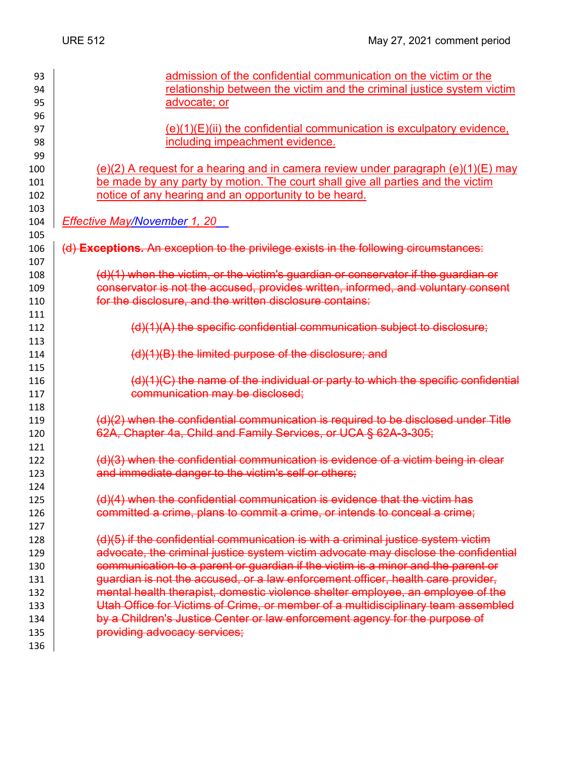| 93         | admission of the confidential communication on the victim or the                      |
|------------|---------------------------------------------------------------------------------------|
| 94         | relationship between the victim and the criminal justice system victim                |
| 95         | advocate; or                                                                          |
| 96         |                                                                                       |
| 97         | $(e)(1)(E)(ii)$ the confidential communication is exculpatory evidence,               |
| 98         | including impeachment evidence.                                                       |
| 99         |                                                                                       |
| 100        | $(e)(2)$ A request for a hearing and in camera review under paragraph $(e)(1)(E)$ may |
| 101        | be made by any party by motion. The court shall give all parties and the victim       |
| 102        | notice of any hearing and an opportunity to be heard.                                 |
| 103        |                                                                                       |
| 104        | Effective May/November 1, 20                                                          |
| 105        |                                                                                       |
| 106        | (d) Exceptions. An exception to the privilege exists in the following circumstances:  |
| 107        |                                                                                       |
| 108        | (d)(1) when the victim, or the victim's guardian or conservator if the guardian or    |
| 109        | conservator is not the accused, provides written, informed, and voluntary consent     |
| 110        | for the disclosure, and the written disclosure contains:                              |
| 111        |                                                                                       |
| 112        | (d)(1)(A) the specific confidential communication subject to disclosure;              |
| 113        |                                                                                       |
| 114        | (d)(1)(B) the limited purpose of the disclosure; and                                  |
| 115        | $(d)(1)(C)$ the name of the individual or party to which the specific confidential    |
| 116<br>117 | communication may be disclosed;                                                       |
| 118        |                                                                                       |
| 119        | (d)(2) when the confidential communication is required to be disclosed under Title    |
| 120        | 62A, Chapter 4a, Child and Family Services, or UCA § 62A-3-305;                       |
| 121        |                                                                                       |
| 122        | $(d)(3)$ when the confidential communication is evidence of a victim being in clear   |
| 123        | and immediate danger to the victim's self or others;                                  |
| 124        |                                                                                       |
| 125        | (d)(4) when the confidential communication is evidence that the victim has            |
| 126        | committed a crime, plans to commit a crime, or intends to conceal a crime;            |
| 127        |                                                                                       |
| 128        | (d)(5) if the confidential communication is with a criminal justice system victim     |
| 129        | advocate, the criminal justice system victim advocate may disclose the confidential   |
| 130        | communication to a parent or guardian if the victim is a minor and the parent or      |
| 131        | guardian is not the accused, or a law enforcement officer, health care provider,      |
| 132        | mental health therapist, domestic violence shelter employee, an employee of the       |
| 133        | Utah Office for Victims of Crime, or member of a multidisciplinary team assembled     |
| 134        | by a Children's Justice Center or law enforcement agency for the purpose of           |
| 135        | providing advocacy services;                                                          |
| 136        |                                                                                       |